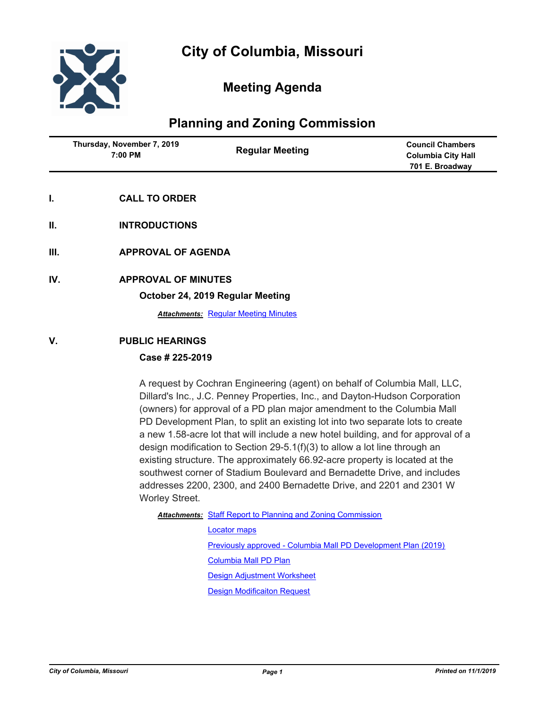

# **Meeting Agenda**

# **Planning and Zoning Commission**

| Thursday, November 7, 2019<br>7:00 PM | <b>Regular Meeting</b> | <b>Council Chambers</b><br><b>Columbia City Hall</b><br>701 E. Broadway |
|---------------------------------------|------------------------|-------------------------------------------------------------------------|
|                                       |                        |                                                                         |

- **I. CALL TO ORDER**
- **II. INTRODUCTIONS**
- **III. APPROVAL OF AGENDA**
- **IV. APPROVAL OF MINUTES**

**October 24, 2019 Regular Meeting**

*Attachments:* [Regular Meeting Minutes](http://gocolumbiamo.legistar.com/gateway.aspx?M=F&ID=3272e081-1382-45aa-81d6-34df2c8fb357.docx)

## **V. PUBLIC HEARINGS**

## **Case # 225-2019**

A request by Cochran Engineering (agent) on behalf of Columbia Mall, LLC, Dillard's Inc., J.C. Penney Properties, Inc., and Dayton-Hudson Corporation (owners) for approval of a PD plan major amendment to the Columbia Mall PD Development Plan, to split an existing lot into two separate lots to create a new 1.58-acre lot that will include a new hotel building, and for approval of a design modification to Section 29-5.1(f)(3) to allow a lot line through an existing structure. The approximately 66.92-acre property is located at the southwest corner of Stadium Boulevard and Bernadette Drive, and includes addresses 2200, 2300, and 2400 Bernadette Drive, and 2201 and 2301 W Worley Street.

### Attachments: [Staff Report to Planning and Zoning Commission](http://gocolumbiamo.legistar.com/gateway.aspx?M=F&ID=9c451f1a-bcf0-42ce-a587-c8677198a83a.docx)

[Locator maps](http://gocolumbiamo.legistar.com/gateway.aspx?M=F&ID=0872ea9b-3424-42c2-9f33-714a6e37c45a.pdf) [Previously approved - Columbia Mall PD Development Plan \(2019\)](http://gocolumbiamo.legistar.com/gateway.aspx?M=F&ID=99dc02c3-d87a-428d-a730-a4402f3cc34e.pdf) [Columbia Mall PD Plan](http://gocolumbiamo.legistar.com/gateway.aspx?M=F&ID=5e3fdedf-b87d-4d6d-9977-2537bbdad753.pdf) [Design Adjustment Worksheet](http://gocolumbiamo.legistar.com/gateway.aspx?M=F&ID=49888b45-5660-40da-bfcf-8236426a3a65.pdf) [Design Modificaiton Request](http://gocolumbiamo.legistar.com/gateway.aspx?M=F&ID=51a5e92e-c6e7-45fd-803f-618f69a6e936.pdf)